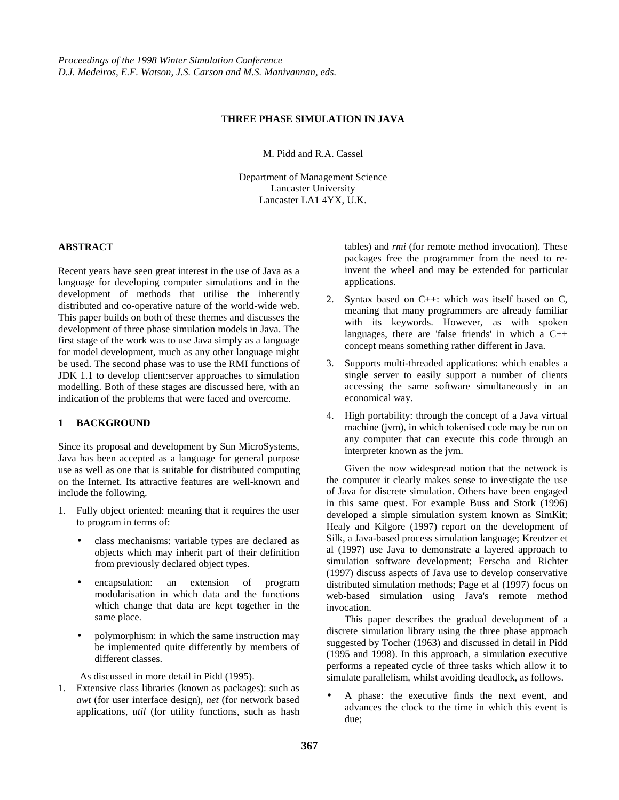# **THREE PHASE SIMULATION IN JAVA**

M. Pidd and R.A. Cassel

Department of Management Science Lancaster University Lancaster LA1 4YX, U.K.

#### **ABSTRACT**

Recent years have seen great interest in the use of Java as a language for developing computer simulations and in the development of methods that utilise the inherently distributed and co-operative nature of the world-wide web. This paper builds on both of these themes and discusses the development of three phase simulation models in Java. The first stage of the work was to use Java simply as a language for model development, much as any other language might be used. The second phase was to use the RMI functions of JDK 1.1 to develop client:server approaches to simulation modelling. Both of these stages are discussed here, with an indication of the problems that were faced and overcome.

## **1 BACKGROUND**

Since its proposal and development by Sun MicroSystems, Java has been accepted as a language for general purpose use as well as one that is suitable for distributed computing on the Internet. Its attractive features are well-known and include the following.

- 1. Fully object oriented: meaning that it requires the user to program in terms of:
	- class mechanisms: variable types are declared as objects which may inherit part of their definition from previously declared object types.
	- encapsulation: an extension of program modularisation in which data and the functions which change that data are kept together in the same place.
	- polymorphism: in which the same instruction may be implemented quite differently by members of different classes.

As discussed in more detail in Pidd (1995).

1. Extensive class libraries (known as packages): such as *awt* (for user interface design), *net* (for network based applications, *util* (for utility functions, such as hash tables) and *rmi* (for remote method invocation). These packages free the programmer from the need to reinvent the wheel and may be extended for particular applications.

- 2. Syntax based on C++: which was itself based on C, meaning that many programmers are already familiar with its keywords. However, as with spoken languages, there are 'false friends' in which a  $C++$ concept means something rather different in Java.
- 3. Supports multi-threaded applications: which enables a single server to easily support a number of clients accessing the same software simultaneously in an economical way.
- 4. High portability: through the concept of a Java virtual machine (jvm), in which tokenised code may be run on any computer that can execute this code through an interpreter known as the jvm.

Given the now widespread notion that the network is the computer it clearly makes sense to investigate the use of Java for discrete simulation. Others have been engaged in this same quest. For example Buss and Stork (1996) developed a simple simulation system known as SimKit; Healy and Kilgore (1997) report on the development of Silk, a Java-based process simulation language; Kreutzer et al (1997) use Java to demonstrate a layered approach to simulation software development; Ferscha and Richter (1997) discuss aspects of Java use to develop conservative distributed simulation methods; Page et al (1997) focus on web-based simulation using Java's remote method invocation.

This paper describes the gradual development of a discrete simulation library using the three phase approach suggested by Tocher (1963) and discussed in detail in Pidd (1995 and 1998). In this approach, a simulation executive performs a repeated cycle of three tasks which allow it to simulate parallelism, whilst avoiding deadlock, as follows.

• A phase: the executive finds the next event, and advances the clock to the time in which this event is due;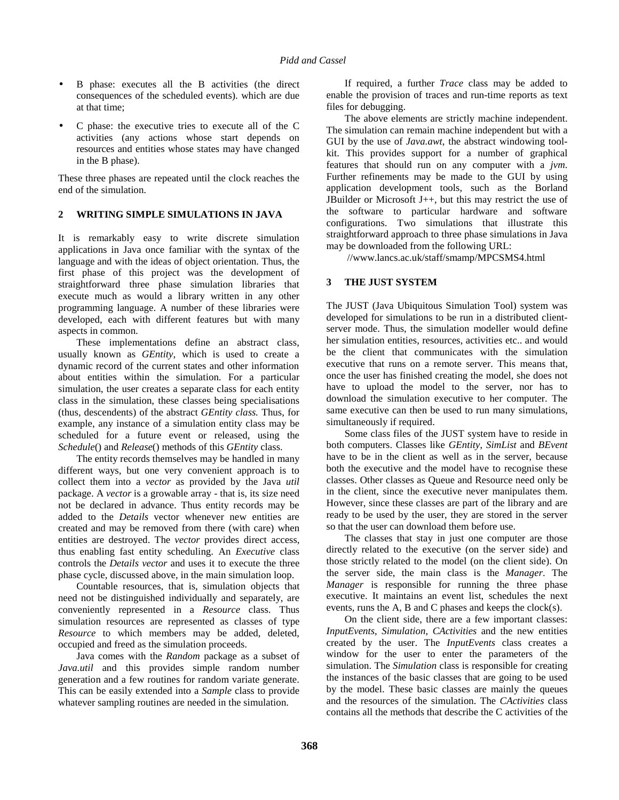- B phase: executes all the B activities (the direct consequences of the scheduled events). which are due at that time;
- C phase: the executive tries to execute all of the C activities (any actions whose start depends on resources and entities whose states may have changed in the B phase).

These three phases are repeated until the clock reaches the end of the simulation.

## **2 WRITING SIMPLE SIMULATIONS IN JAVA**

It is remarkably easy to write discrete simulation applications in Java once familiar with the syntax of the language and with the ideas of object orientation. Thus, the first phase of this project was the development of straightforward three phase simulation libraries that execute much as would a library written in any other programming language. A number of these libraries were developed, each with different features but with many aspects in common.

These implementations define an abstract class, usually known as *GEntity*, which is used to create a dynamic record of the current states and other information about entities within the simulation. For a particular simulation, the user creates a separate class for each entity class in the simulation, these classes being specialisations (thus, descendents) of the abstract *GEntity class.* Thus, for example, any instance of a simulation entity class may be scheduled for a future event or released, using the *Schedule*() and *Release*() methods of this *GEntity* class.

The entity records themselves may be handled in many different ways, but one very convenient approach is to collect them into a *vector* as provided by the Java *util* package. A *vector* is a growable array - that is, its size need not be declared in advance. Thus entity records may be added to the *Details* vector whenever new entities are created and may be removed from there (with care) when entities are destroyed. The *vector* provides direct access, thus enabling fast entity scheduling. An *Executive* class controls the *Details vector* and uses it to execute the three phase cycle, discussed above, in the main simulation loop.

Countable resources, that is, simulation objects that need not be distinguished individually and separately, are conveniently represented in a *Resource* class. Thus simulation resources are represented as classes of type *Resource* to which members may be added, deleted, occupied and freed as the simulation proceeds.

Java comes with the *Random* package as a subset of *Java.util* and this provides simple random number generation and a few routines for random variate generate. This can be easily extended into a *Sample* class to provide whatever sampling routines are needed in the simulation.

If required, a further *Trace* class may be added to enable the provision of traces and run-time reports as text files for debugging.

The above elements are strictly machine independent. The simulation can remain machine independent but with a GUI by the use of *Java.awt*, the abstract windowing toolkit. This provides support for a number of graphical features that should run on any computer with a *jvm*. Further refinements may be made to the GUI by using application development tools, such as the Borland JBuilder or Microsoft J $++$ , but this may restrict the use of the software to particular hardware and software configurations. Two simulations that illustrate this straightforward approach to three phase simulations in Java may be downloaded from the following URL:

//www.lancs.ac.uk/staff/smamp/MPCSMS4.html

# **3 THE JUST SYSTEM**

The JUST (Java Ubiquitous Simulation Tool) system was developed for simulations to be run in a distributed clientserver mode. Thus, the simulation modeller would define her simulation entities, resources, activities etc.. and would be the client that communicates with the simulation executive that runs on a remote server. This means that, once the user has finished creating the model, she does not have to upload the model to the server, nor has to download the simulation executive to her computer. The same executive can then be used to run many simulations, simultaneously if required.

Some class files of the JUST system have to reside in both computers. Classes like *GEntity*, *SimList* and *BEvent* have to be in the client as well as in the server, because both the executive and the model have to recognise these classes. Other classes as Queue and Resource need only be in the client, since the executive never manipulates them. However, since these classes are part of the library and are ready to be used by the user, they are stored in the server so that the user can download them before use.

The classes that stay in just one computer are those directly related to the executive (on the server side) and those strictly related to the model (on the client side). On the server side, the main class is the *Manager*. The *Manager* is responsible for running the three phase executive. It maintains an event list, schedules the next events, runs the A, B and C phases and keeps the clock(s).

On the client side, there are a few important classes: *InputEvents*, *Simulation*, *CActivities* and the new entities created by the user. The *InputEvents* class creates a window for the user to enter the parameters of the simulation. The *Simulation* class is responsible for creating the instances of the basic classes that are going to be used by the model. These basic classes are mainly the queues and the resources of the simulation. The *CActivities* class contains all the methods that describe the C activities of the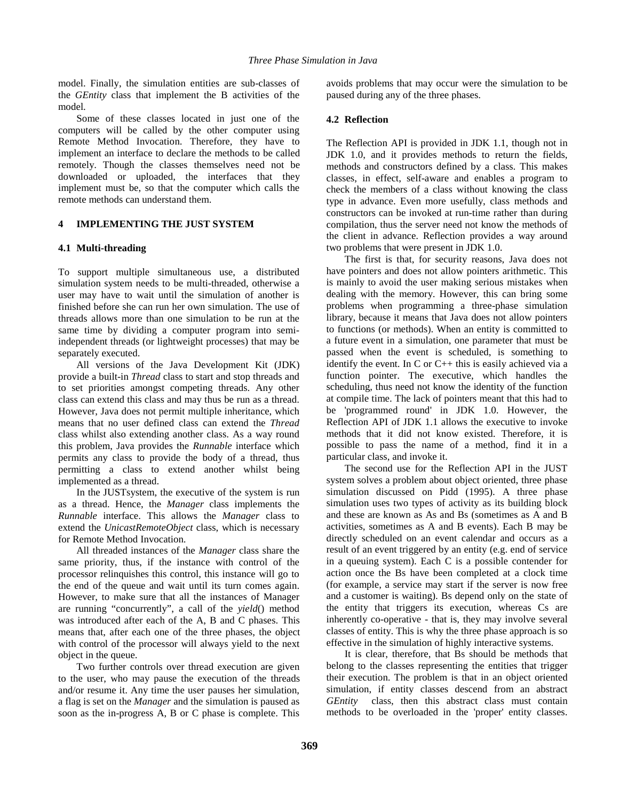model. Finally, the simulation entities are sub-classes of the *GEntity* class that implement the B activities of the model.

Some of these classes located in just one of the computers will be called by the other computer using Remote Method Invocation. Therefore, they have to implement an interface to declare the methods to be called remotely. Though the classes themselves need not be downloaded or uploaded, the interfaces that they implement must be, so that the computer which calls the remote methods can understand them.

# **4 IMPLEMENTING THE JUST SYSTEM**

#### **4.1 Multi-threading**

To support multiple simultaneous use, a distributed simulation system needs to be multi-threaded, otherwise a user may have to wait until the simulation of another is finished before she can run her own simulation. The use of threads allows more than one simulation to be run at the same time by dividing a computer program into semiindependent threads (or lightweight processes) that may be separately executed.

All versions of the Java Development Kit (JDK) provide a built-in *Thread* class to start and stop threads and to set priorities amongst competing threads. Any other class can extend this class and may thus be run as a thread. However, Java does not permit multiple inheritance, which means that no user defined class can extend the *Thread* class whilst also extending another class. As a way round this problem, Java provides the *Runnable* interface which permits any class to provide the body of a thread, thus permitting a class to extend another whilst being implemented as a thread.

In the JUSTsystem, the executive of the system is run as a thread. Hence, the *Manager* class implements the *Runnable* interface. This allows the *Manager* class to extend the *UnicastRemoteObject* class, which is necessary for Remote Method Invocation.

All threaded instances of the *Manager* class share the same priority, thus, if the instance with control of the processor relinquishes this control, this instance will go to the end of the queue and wait until its turn comes again. However, to make sure that all the instances of Manager are running "concurrently", a call of the *yield*() method was introduced after each of the A, B and C phases. This means that, after each one of the three phases, the object with control of the processor will always yield to the next object in the queue.

Two further controls over thread execution are given to the user, who may pause the execution of the threads and/or resume it. Any time the user pauses her simulation, a flag is set on the *Manager* and the simulation is paused as soon as the in-progress A, B or C phase is complete. This avoids problems that may occur were the simulation to be paused during any of the three phases.

#### **4.2 Reflection**

The Reflection API is provided in JDK 1.1, though not in JDK 1.0, and it provides methods to return the fields, methods and constructors defined by a class. This makes classes, in effect, self-aware and enables a program to check the members of a class without knowing the class type in advance. Even more usefully, class methods and constructors can be invoked at run-time rather than during compilation, thus the server need not know the methods of the client in advance. Reflection provides a way around two problems that were present in JDK 1.0.

The first is that, for security reasons, Java does not have pointers and does not allow pointers arithmetic. This is mainly to avoid the user making serious mistakes when dealing with the memory. However, this can bring some problems when programming a three-phase simulation library, because it means that Java does not allow pointers to functions (or methods). When an entity is committed to a future event in a simulation, one parameter that must be passed when the event is scheduled, is something to identify the event. In C or C++ this is easily achieved via a function pointer. The executive, which handles the scheduling, thus need not know the identity of the function at compile time. The lack of pointers meant that this had to be 'programmed round' in JDK 1.0. However, the Reflection API of JDK 1.1 allows the executive to invoke methods that it did not know existed. Therefore, it is possible to pass the name of a method, find it in a particular class, and invoke it.

The second use for the Reflection API in the JUST system solves a problem about object oriented, three phase simulation discussed on Pidd (1995). A three phase simulation uses two types of activity as its building block and these are known as As and Bs (sometimes as A and B activities, sometimes as A and B events). Each B may be directly scheduled on an event calendar and occurs as a result of an event triggered by an entity (e.g. end of service in a queuing system). Each C is a possible contender for action once the Bs have been completed at a clock time (for example, a service may start if the server is now free and a customer is waiting). Bs depend only on the state of the entity that triggers its execution, whereas Cs are inherently co-operative - that is, they may involve several classes of entity. This is why the three phase approach is so effective in the simulation of highly interactive systems.

It is clear, therefore, that Bs should be methods that belong to the classes representing the entities that trigger their execution. The problem is that in an object oriented simulation, if entity classes descend from an abstract *GEntity* class, then this abstract class must contain methods to be overloaded in the 'proper' entity classes.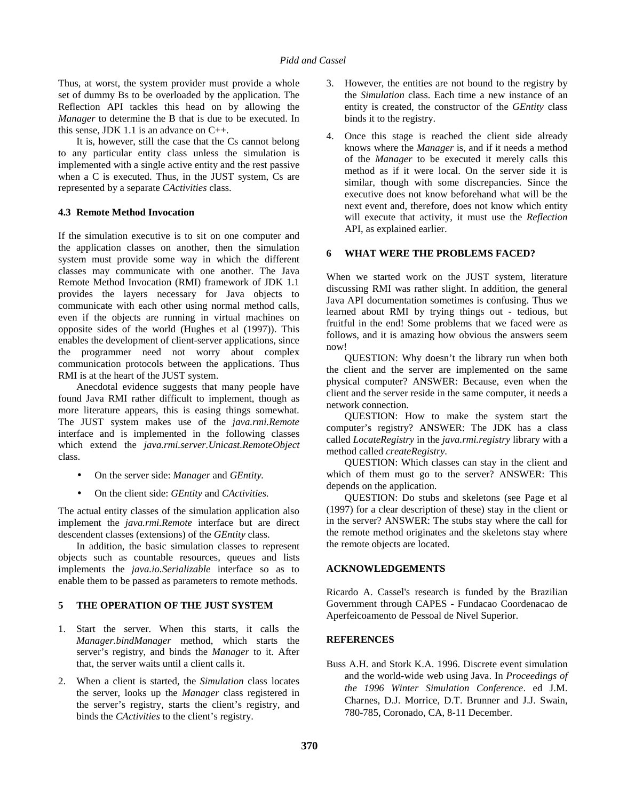Thus, at worst, the system provider must provide a whole set of dummy Bs to be overloaded by the application. The Reflection API tackles this head on by allowing the *Manager* to determine the B that is due to be executed. In this sense, JDK 1.1 is an advance on C++.

It is, however, still the case that the Cs cannot belong to any particular entity class unless the simulation is implemented with a single active entity and the rest passive when a C is executed. Thus, in the JUST system, Cs are represented by a separate *CActivities* class.

## **4.3 Remote Method Invocation**

If the simulation executive is to sit on one computer and the application classes on another, then the simulation system must provide some way in which the different classes may communicate with one another. The Java Remote Method Invocation (RMI) framework of JDK 1.1 provides the layers necessary for Java objects to communicate with each other using normal method calls, even if the objects are running in virtual machines on opposite sides of the world (Hughes et al (1997)). This enables the development of client-server applications, since the programmer need not worry about complex communication protocols between the applications. Thus RMI is at the heart of the JUST system.

Anecdotal evidence suggests that many people have found Java RMI rather difficult to implement, though as more literature appears, this is easing things somewhat. The JUST system makes use of the *java.rmi.Remote* interface and is implemented in the following classes which extend the *java.rmi.server.Unicast.RemoteObject* class.

- On the server side: *Manager* and *GEntity.*
- On the client side: *GEntity* and *CActivities*.

The actual entity classes of the simulation application also implement the *java.rmi.Remote* interface but are direct descendent classes (extensions) of the *GEntity* class.

In addition, the basic simulation classes to represent objects such as countable resources, queues and lists implements the *java.io.Serializable* interface so as to enable them to be passed as parameters to remote methods.

# **5 THE OPERATION OF THE JUST SYSTEM**

- 1. Start the server. When this starts, it calls the *Manager.bindManager* method, which starts the server's registry, and binds the *Manager* to it. After that, the server waits until a client calls it.
- 2. When a client is started, the *Simulation* class locates the server, looks up the *Manager* class registered in the server's registry, starts the client's registry, and binds the *CActivities* to the client's registry.
- 3. However, the entities are not bound to the registry by the *Simulation* class. Each time a new instance of an entity is created, the constructor of the *GEntity* class binds it to the registry.
- 4. Once this stage is reached the client side already knows where the *Manager* is, and if it needs a method of the *Manager* to be executed it merely calls this method as if it were local. On the server side it is similar, though with some discrepancies. Since the executive does not know beforehand what will be the next event and, therefore, does not know which entity will execute that activity, it must use the *Reflection* API, as explained earlier.

## **6 WHAT WERE THE PROBLEMS FACED?**

When we started work on the JUST system, literature discussing RMI was rather slight. In addition, the general Java API documentation sometimes is confusing. Thus we learned about RMI by trying things out - tedious, but fruitful in the end! Some problems that we faced were as follows, and it is amazing how obvious the answers seem now!

QUESTION: Why doesn't the library run when both the client and the server are implemented on the same physical computer? ANSWER: Because, even when the client and the server reside in the same computer, it needs a network connection.

QUESTION: How to make the system start the computer's registry? ANSWER: The JDK has a class called *LocateRegistry* in the *java.rmi.registry* library with a method called *createRegistry*.

QUESTION: Which classes can stay in the client and which of them must go to the server? ANSWER: This depends on the application.

QUESTION: Do stubs and skeletons (see Page et al (1997) for a clear description of these) stay in the client or in the server? ANSWER: The stubs stay where the call for the remote method originates and the skeletons stay where the remote objects are located.

## **ACKNOWLEDGEMENTS**

Ricardo A. Cassel's research is funded by the Brazilian Government through CAPES - Fundacao Coordenacao de Aperfeicoamento de Pessoal de Nivel Superior.

## **REFERENCES**

Buss A.H. and Stork K.A. 1996. Discrete event simulation and the world-wide web using Java. In *Proceedings of the 1996 Winter Simulation Conference*. ed J.M. Charnes, D.J. Morrice, D.T. Brunner and J.J. Swain, 780-785, Coronado, CA, 8-11 December.